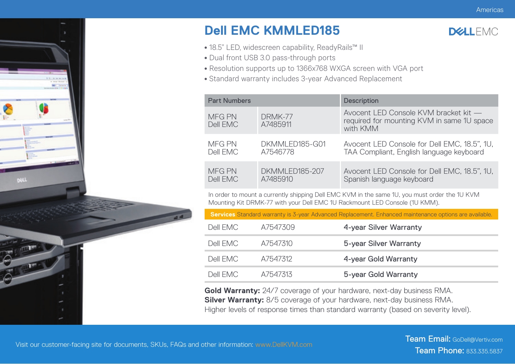

## **Dell EMC KMMLED185**



- 18.5" LED, widescreen capability, ReadyRails™ II
- Dual front USB 3.0 pass-through ports
- Resolution supports up to 1366x768 WXGA screen with VGA port
- Standard warranty includes 3-year Advanced Replacement

| <b>Part Numbers</b> |                     | <b>Description</b>                                                                              |  |  |
|---------------------|---------------------|-------------------------------------------------------------------------------------------------|--|--|
| MFG PN<br>Dell EMC  | DRMK-77<br>A7485911 | Avocent LED Console KVM bracket kit -<br>required for mounting KVM in same 1U space<br>with KMM |  |  |
| MFG PN              | DKMMLED185-G01      | Avocent LED Console for Dell EMC, 18.5", 1U,                                                    |  |  |
| Dell EMC            | A7546778            | TAA Compliant, English language keyboard                                                        |  |  |
| <b>MFG PN</b>       | DKMMLED185-207      | Avocent LED Console for Dell EMC, 18.5", 1U,                                                    |  |  |
| Dell EMC            | A7485910            | Spanish language keyboard                                                                       |  |  |

In order to mount a currently shipping Dell EMC KVM in the same 1U, you must order the 1U KVM Mounting Kit DRMK-77 with your Dell EMC 1U Rackmount LED Console (1U KMM).

**Services** Standard warranty is 3-year Advanced Replacement. Enhanced maintenance options are available.

| Dell FMC. | A7547309 | 4-year Silver Warranty |
|-----------|----------|------------------------|
| Dell FMC. | A7547310 | 5-year Silver Warranty |
| Dell FMC. | A7547312 | 4-year Gold Warranty   |
| Dell FMC. | A7547313 | 5-year Gold Warranty   |

**Gold Warranty:** 24/7 coverage of your hardware, next-day business RMA. **Silver Warranty:** 8/5 coverage of your hardware, next-day business RMA. Higher levels of response times than standard warranty (based on severity level).

0e

**DOLL**